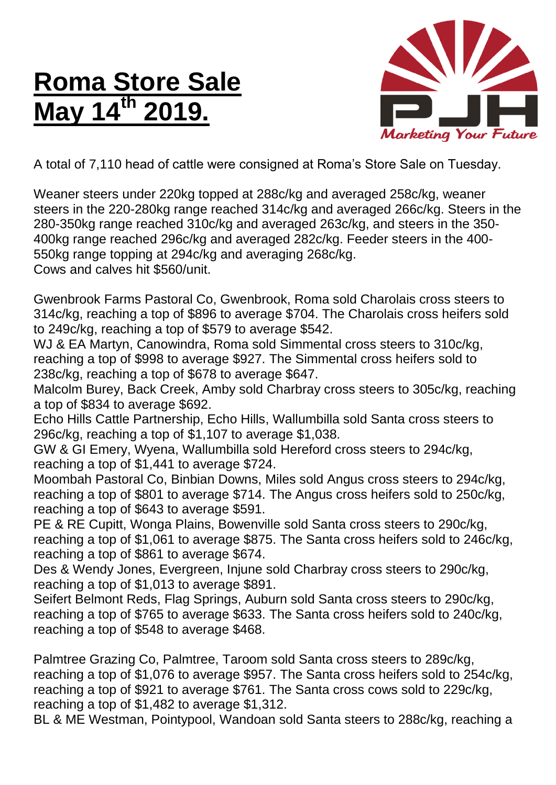## **Roma Store Sale May 14th 2019.**



A total of 7,110 head of cattle were consigned at Roma's Store Sale on Tuesday.

Weaner steers under 220kg topped at 288c/kg and averaged 258c/kg, weaner steers in the 220-280kg range reached 314c/kg and averaged 266c/kg. Steers in the 280-350kg range reached 310c/kg and averaged 263c/kg, and steers in the 350- 400kg range reached 296c/kg and averaged 282c/kg. Feeder steers in the 400- 550kg range topping at 294c/kg and averaging 268c/kg. Cows and calves hit \$560/unit.

Gwenbrook Farms Pastoral Co, Gwenbrook, Roma sold Charolais cross steers to 314c/kg, reaching a top of \$896 to average \$704. The Charolais cross heifers sold to 249c/kg, reaching a top of \$579 to average \$542.

WJ & EA Martyn, Canowindra, Roma sold Simmental cross steers to 310c/kg, reaching a top of \$998 to average \$927. The Simmental cross heifers sold to 238c/kg, reaching a top of \$678 to average \$647.

Malcolm Burey, Back Creek, Amby sold Charbray cross steers to 305c/kg, reaching a top of \$834 to average \$692.

Echo Hills Cattle Partnership, Echo Hills, Wallumbilla sold Santa cross steers to 296c/kg, reaching a top of \$1,107 to average \$1,038.

GW & GI Emery, Wyena, Wallumbilla sold Hereford cross steers to 294c/kg, reaching a top of \$1,441 to average \$724.

Moombah Pastoral Co, Binbian Downs, Miles sold Angus cross steers to 294c/kg, reaching a top of \$801 to average \$714. The Angus cross heifers sold to 250c/kg, reaching a top of \$643 to average \$591.

PE & RE Cupitt, Wonga Plains, Bowenville sold Santa cross steers to 290c/kg, reaching a top of \$1,061 to average \$875. The Santa cross heifers sold to 246c/kg, reaching a top of \$861 to average \$674.

Des & Wendy Jones, Evergreen, Injune sold Charbray cross steers to 290c/kg, reaching a top of \$1,013 to average \$891.

Seifert Belmont Reds, Flag Springs, Auburn sold Santa cross steers to 290c/kg, reaching a top of \$765 to average \$633. The Santa cross heifers sold to 240c/kg, reaching a top of \$548 to average \$468.

Palmtree Grazing Co, Palmtree, Taroom sold Santa cross steers to 289c/kg, reaching a top of \$1,076 to average \$957. The Santa cross heifers sold to 254c/kg, reaching a top of \$921 to average \$761. The Santa cross cows sold to 229c/kg, reaching a top of \$1,482 to average \$1,312.

BL & ME Westman, Pointypool, Wandoan sold Santa steers to 288c/kg, reaching a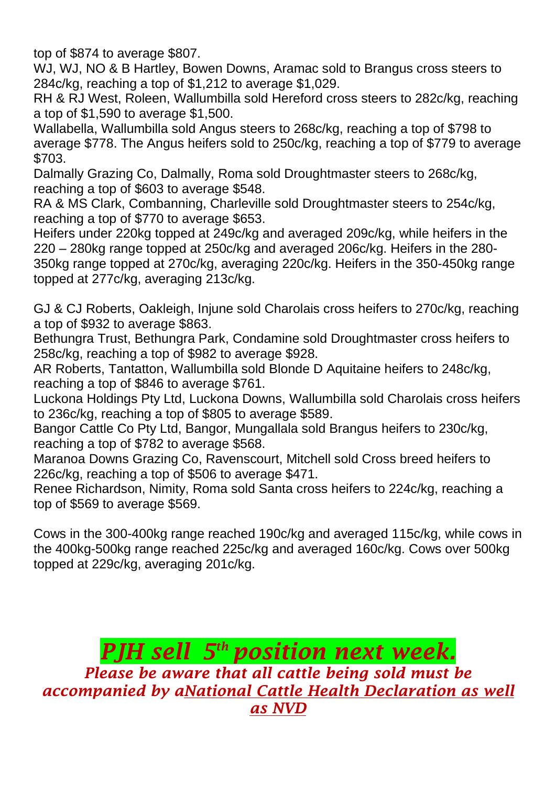top of \$874 to average \$807.

WJ, WJ, NO & B Hartley, Bowen Downs, Aramac sold to Brangus cross steers to 284c/kg, reaching a top of \$1,212 to average \$1,029.

RH & RJ West, Roleen, Wallumbilla sold Hereford cross steers to 282c/kg, reaching a top of \$1,590 to average \$1,500.

Wallabella, Wallumbilla sold Angus steers to 268c/kg, reaching a top of \$798 to average \$778. The Angus heifers sold to 250c/kg, reaching a top of \$779 to average \$703.

Dalmally Grazing Co, Dalmally, Roma sold Droughtmaster steers to 268c/kg, reaching a top of \$603 to average \$548.

RA & MS Clark, Combanning, Charleville sold Droughtmaster steers to 254c/kg, reaching a top of \$770 to average \$653.

Heifers under 220kg topped at 249c/kg and averaged 209c/kg, while heifers in the 220 – 280kg range topped at 250c/kg and averaged 206c/kg. Heifers in the 280- 350kg range topped at 270c/kg, averaging 220c/kg. Heifers in the 350-450kg range topped at 277c/kg, averaging 213c/kg.

GJ & CJ Roberts, Oakleigh, Injune sold Charolais cross heifers to 270c/kg, reaching a top of \$932 to average \$863.

Bethungra Trust, Bethungra Park, Condamine sold Droughtmaster cross heifers to 258c/kg, reaching a top of \$982 to average \$928.

AR Roberts, Tantatton, Wallumbilla sold Blonde D Aquitaine heifers to 248c/kg, reaching a top of \$846 to average \$761.

Luckona Holdings Pty Ltd, Luckona Downs, Wallumbilla sold Charolais cross heifers to 236c/kg, reaching a top of \$805 to average \$589.

Bangor Cattle Co Pty Ltd, Bangor, Mungallala sold Brangus heifers to 230c/kg, reaching a top of \$782 to average \$568.

Maranoa Downs Grazing Co, Ravenscourt, Mitchell sold Cross breed heifers to 226c/kg, reaching a top of \$506 to average \$471.

Renee Richardson, Nimity, Roma sold Santa cross heifers to 224c/kg, reaching a top of \$569 to average \$569.

Cows in the 300-400kg range reached 190c/kg and averaged 115c/kg, while cows in the 400kg-500kg range reached 225c/kg and averaged 160c/kg. Cows over 500kg topped at 229c/kg, averaging 201c/kg.

## *PJH sell 5 th position next week.*

*Please be aware that all cattle being sold must be accompanied by aNational Cattle Health Declaration as well as NVD*